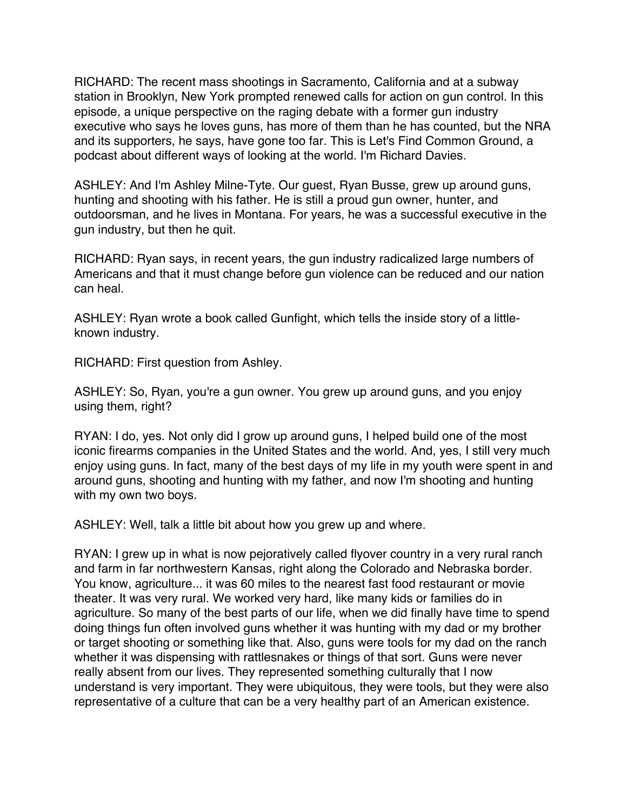RICHARD: The recent mass shootings in Sacramento, California and at a subway station in Brooklyn, New York prompted renewed calls for action on gun control. In this episode, a unique perspective on the raging debate with a former gun industry executive who says he loves guns, has more of them than he has counted, but the NRA and its supporters, he says, have gone too far. This is Let's Find Common Ground, a podcast about different ways of looking at the world. I'm Richard Davies.

ASHLEY: And I'm Ashley Milne-Tyte. Our guest, Ryan Busse, grew up around guns, hunting and shooting with his father. He is still a proud gun owner, hunter, and outdoorsman, and he lives in Montana. For years, he was a successful executive in the gun industry, but then he quit.

RICHARD: Ryan says, in recent years, the gun industry radicalized large numbers of Americans and that it must change before gun violence can be reduced and our nation can heal.

ASHLEY: Ryan wrote a book called Gunfight, which tells the inside story of a littleknown industry.

RICHARD: First question from Ashley.

ASHLEY: So, Ryan, you're a gun owner. You grew up around guns, and you enjoy using them, right?

RYAN: I do, yes. Not only did I grow up around guns, I helped build one of the most iconic firearms companies in the United States and the world. And, yes, I still very much enjoy using guns. In fact, many of the best days of my life in my youth were spent in and around guns, shooting and hunting with my father, and now I'm shooting and hunting with my own two boys.

ASHLEY: Well, talk a little bit about how you grew up and where.

RYAN: I grew up in what is now pejoratively called flyover country in a very rural ranch and farm in far northwestern Kansas, right along the Colorado and Nebraska border. You know, agriculture... it was 60 miles to the nearest fast food restaurant or movie theater. It was very rural. We worked very hard, like many kids or families do in agriculture. So many of the best parts of our life, when we did finally have time to spend doing things fun often involved guns whether it was hunting with my dad or my brother or target shooting or something like that. Also, guns were tools for my dad on the ranch whether it was dispensing with rattlesnakes or things of that sort. Guns were never really absent from our lives. They represented something culturally that I now understand is very important. They were ubiquitous, they were tools, but they were also representative of a culture that can be a very healthy part of an American existence.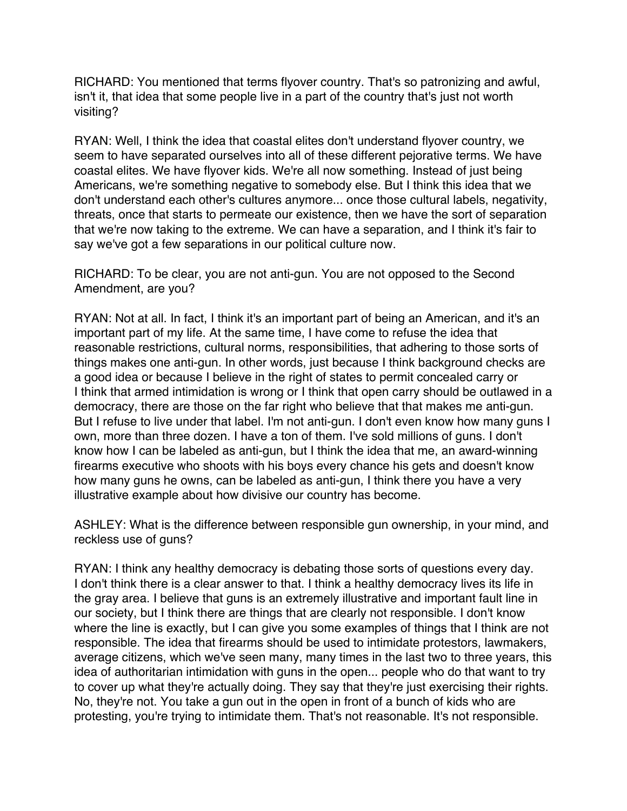RICHARD: You mentioned that terms flyover country. That's so patronizing and awful, isn't it, that idea that some people live in a part of the country that's just not worth visiting?

RYAN: Well, I think the idea that coastal elites don't understand flyover country, we seem to have separated ourselves into all of these different pejorative terms. We have coastal elites. We have flyover kids. We're all now something. Instead of just being Americans, we're something negative to somebody else. But I think this idea that we don't understand each other's cultures anymore... once those cultural labels, negativity, threats, once that starts to permeate our existence, then we have the sort of separation that we're now taking to the extreme. We can have a separation, and I think it's fair to say we've got a few separations in our political culture now.

RICHARD: To be clear, you are not anti-gun. You are not opposed to the Second Amendment, are you?

RYAN: Not at all. In fact, I think it's an important part of being an American, and it's an important part of my life. At the same time, I have come to refuse the idea that reasonable restrictions, cultural norms, responsibilities, that adhering to those sorts of things makes one anti-gun. In other words, just because I think background checks are a good idea or because I believe in the right of states to permit concealed carry or I think that armed intimidation is wrong or I think that open carry should be outlawed in a democracy, there are those on the far right who believe that that makes me anti-gun. But I refuse to live under that label. I'm not anti-gun. I don't even know how many guns I own, more than three dozen. I have a ton of them. I've sold millions of guns. I don't know how I can be labeled as anti-gun, but I think the idea that me, an award-winning firearms executive who shoots with his boys every chance his gets and doesn't know how many guns he owns, can be labeled as anti-gun, I think there you have a very illustrative example about how divisive our country has become.

ASHLEY: What is the difference between responsible gun ownership, in your mind, and reckless use of guns?

RYAN: I think any healthy democracy is debating those sorts of questions every day. I don't think there is a clear answer to that. I think a healthy democracy lives its life in the gray area. I believe that guns is an extremely illustrative and important fault line in our society, but I think there are things that are clearly not responsible. I don't know where the line is exactly, but I can give you some examples of things that I think are not responsible. The idea that firearms should be used to intimidate protestors, lawmakers, average citizens, which we've seen many, many times in the last two to three years, this idea of authoritarian intimidation with guns in the open... people who do that want to try to cover up what they're actually doing. They say that they're just exercising their rights. No, they're not. You take a gun out in the open in front of a bunch of kids who are protesting, you're trying to intimidate them. That's not reasonable. It's not responsible.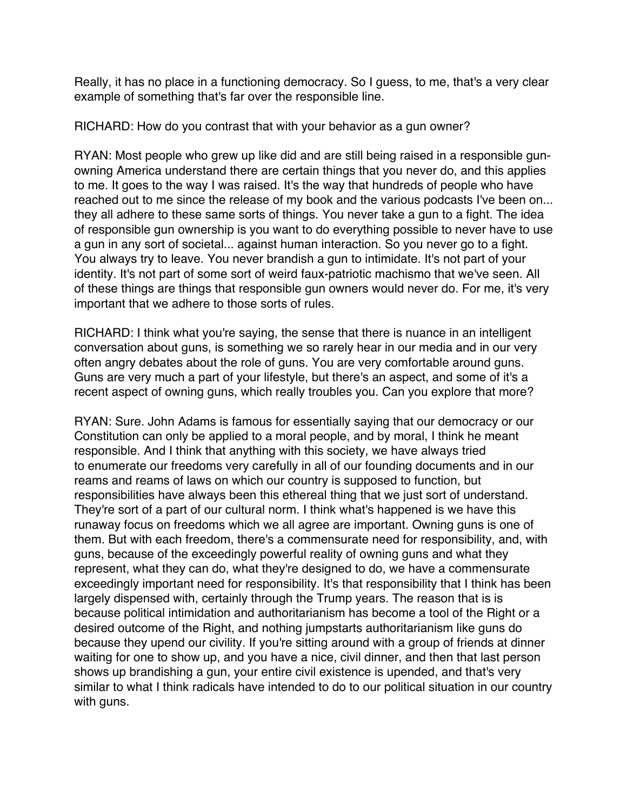Really, it has no place in a functioning democracy. So I guess, to me, that's a very clear example of something that's far over the responsible line.

RICHARD: How do you contrast that with your behavior as a gun owner?

RYAN: Most people who grew up like did and are still being raised in a responsible gunowning America understand there are certain things that you never do, and this applies to me. It goes to the way I was raised. It's the way that hundreds of people who have reached out to me since the release of my book and the various podcasts I've been on... they all adhere to these same sorts of things. You never take a gun to a fight. The idea of responsible gun ownership is you want to do everything possible to never have to use a gun in any sort of societal... against human interaction. So you never go to a fight. You always try to leave. You never brandish a gun to intimidate. It's not part of your identity. It's not part of some sort of weird faux-patriotic machismo that we've seen. All of these things are things that responsible gun owners would never do. For me, it's very important that we adhere to those sorts of rules.

RICHARD: I think what you're saying, the sense that there is nuance in an intelligent conversation about guns, is something we so rarely hear in our media and in our very often angry debates about the role of guns. You are very comfortable around guns. Guns are very much a part of your lifestyle, but there's an aspect, and some of it's a recent aspect of owning guns, which really troubles you. Can you explore that more?

RYAN: Sure. John Adams is famous for essentially saying that our democracy or our Constitution can only be applied to a moral people, and by moral, I think he meant responsible. And I think that anything with this society, we have always tried to enumerate our freedoms very carefully in all of our founding documents and in our reams and reams of laws on which our country is supposed to function, but responsibilities have always been this ethereal thing that we just sort of understand. They're sort of a part of our cultural norm. I think what's happened is we have this runaway focus on freedoms which we all agree are important. Owning guns is one of them. But with each freedom, there's a commensurate need for responsibility, and, with guns, because of the exceedingly powerful reality of owning guns and what they represent, what they can do, what they're designed to do, we have a commensurate exceedingly important need for responsibility. It's that responsibility that I think has been largely dispensed with, certainly through the Trump years. The reason that is is because political intimidation and authoritarianism has become a tool of the Right or a desired outcome of the Right, and nothing jumpstarts authoritarianism like guns do because they upend our civility. If you're sitting around with a group of friends at dinner waiting for one to show up, and you have a nice, civil dinner, and then that last person shows up brandishing a gun, your entire civil existence is upended, and that's very similar to what I think radicals have intended to do to our political situation in our country with guns.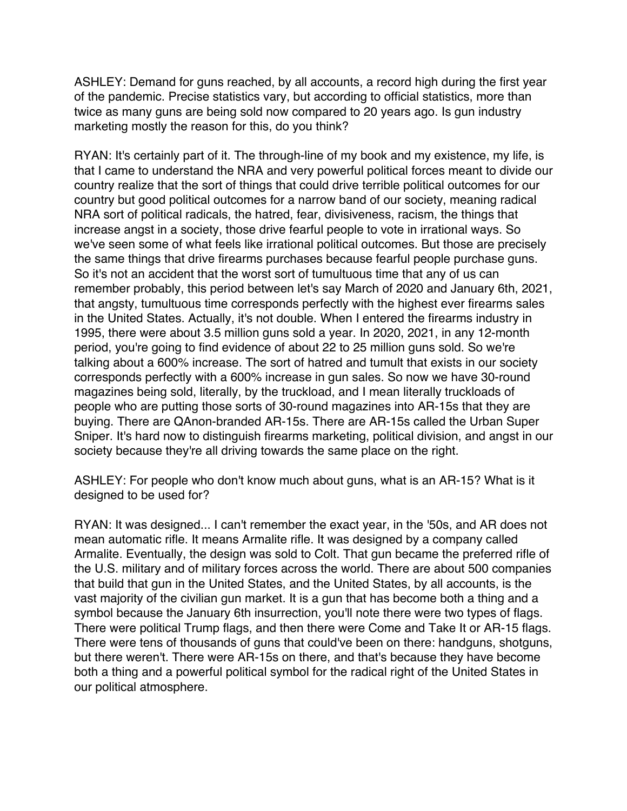ASHLEY: Demand for guns reached, by all accounts, a record high during the first year of the pandemic. Precise statistics vary, but according to official statistics, more than twice as many guns are being sold now compared to 20 years ago. Is gun industry marketing mostly the reason for this, do you think?

RYAN: It's certainly part of it. The through-line of my book and my existence, my life, is that I came to understand the NRA and very powerful political forces meant to divide our country realize that the sort of things that could drive terrible political outcomes for our country but good political outcomes for a narrow band of our society, meaning radical NRA sort of political radicals, the hatred, fear, divisiveness, racism, the things that increase angst in a society, those drive fearful people to vote in irrational ways. So we've seen some of what feels like irrational political outcomes. But those are precisely the same things that drive firearms purchases because fearful people purchase guns. So it's not an accident that the worst sort of tumultuous time that any of us can remember probably, this period between let's say March of 2020 and January 6th, 2021, that angsty, tumultuous time corresponds perfectly with the highest ever firearms sales in the United States. Actually, it's not double. When I entered the firearms industry in 1995, there were about 3.5 million guns sold a year. In 2020, 2021, in any 12-month period, you're going to find evidence of about 22 to 25 million guns sold. So we're talking about a 600% increase. The sort of hatred and tumult that exists in our society corresponds perfectly with a 600% increase in gun sales. So now we have 30-round magazines being sold, literally, by the truckload, and I mean literally truckloads of people who are putting those sorts of 30-round magazines into AR-15s that they are buying. There are QAnon-branded AR-15s. There are AR-15s called the Urban Super Sniper. It's hard now to distinguish firearms marketing, political division, and angst in our society because they're all driving towards the same place on the right.

ASHLEY: For people who don't know much about guns, what is an AR-15? What is it designed to be used for?

RYAN: It was designed... I can't remember the exact year, in the '50s, and AR does not mean automatic rifle. It means Armalite rifle. It was designed by a company called Armalite. Eventually, the design was sold to Colt. That gun became the preferred rifle of the U.S. military and of military forces across the world. There are about 500 companies that build that gun in the United States, and the United States, by all accounts, is the vast majority of the civilian gun market. It is a gun that has become both a thing and a symbol because the January 6th insurrection, you'll note there were two types of flags. There were political Trump flags, and then there were Come and Take It or AR-15 flags. There were tens of thousands of guns that could've been on there: handguns, shotguns, but there weren't. There were AR-15s on there, and that's because they have become both a thing and a powerful political symbol for the radical right of the United States in our political atmosphere.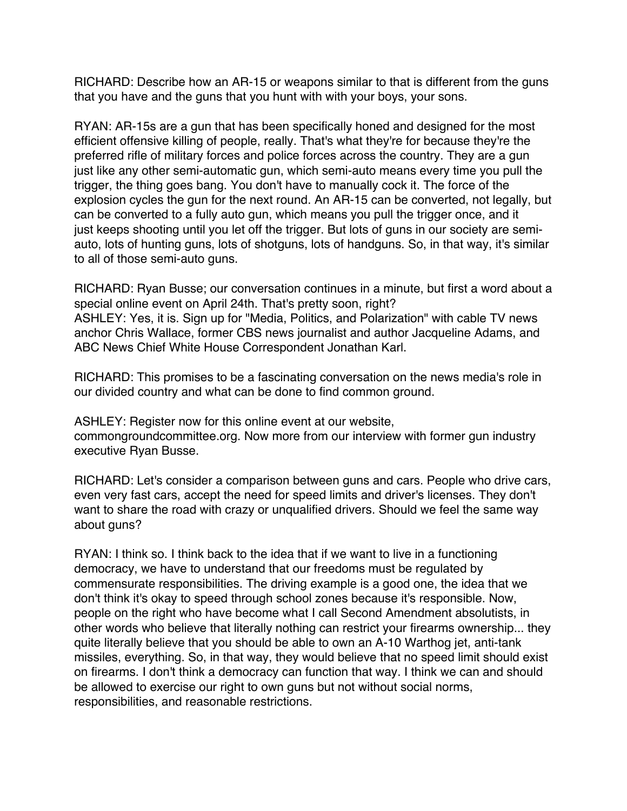RICHARD: Describe how an AR-15 or weapons similar to that is different from the guns that you have and the guns that you hunt with with your boys, your sons.

RYAN: AR-15s are a gun that has been specifically honed and designed for the most efficient offensive killing of people, really. That's what they're for because they're the preferred rifle of military forces and police forces across the country. They are a gun just like any other semi-automatic gun, which semi-auto means every time you pull the trigger, the thing goes bang. You don't have to manually cock it. The force of the explosion cycles the gun for the next round. An AR-15 can be converted, not legally, but can be converted to a fully auto gun, which means you pull the trigger once, and it just keeps shooting until you let off the trigger. But lots of guns in our society are semiauto, lots of hunting guns, lots of shotguns, lots of handguns. So, in that way, it's similar to all of those semi-auto guns.

RICHARD: Ryan Busse; our conversation continues in a minute, but first a word about a special online event on April 24th. That's pretty soon, right? ASHLEY: Yes, it is. Sign up for "Media, Politics, and Polarization" with cable TV news anchor Chris Wallace, former CBS news journalist and author Jacqueline Adams, and ABC News Chief White House Correspondent Jonathan Karl.

RICHARD: This promises to be a fascinating conversation on the news media's role in our divided country and what can be done to find common ground.

ASHLEY: Register now for this online event at our website, commongroundcommittee.org. Now more from our interview with former gun industry executive Ryan Busse.

RICHARD: Let's consider a comparison between guns and cars. People who drive cars, even very fast cars, accept the need for speed limits and driver's licenses. They don't want to share the road with crazy or unqualified drivers. Should we feel the same way about guns?

RYAN: I think so. I think back to the idea that if we want to live in a functioning democracy, we have to understand that our freedoms must be regulated by commensurate responsibilities. The driving example is a good one, the idea that we don't think it's okay to speed through school zones because it's responsible. Now, people on the right who have become what I call Second Amendment absolutists, in other words who believe that literally nothing can restrict your firearms ownership... they quite literally believe that you should be able to own an A-10 Warthog jet, anti-tank missiles, everything. So, in that way, they would believe that no speed limit should exist on firearms. I don't think a democracy can function that way. I think we can and should be allowed to exercise our right to own guns but not without social norms, responsibilities, and reasonable restrictions.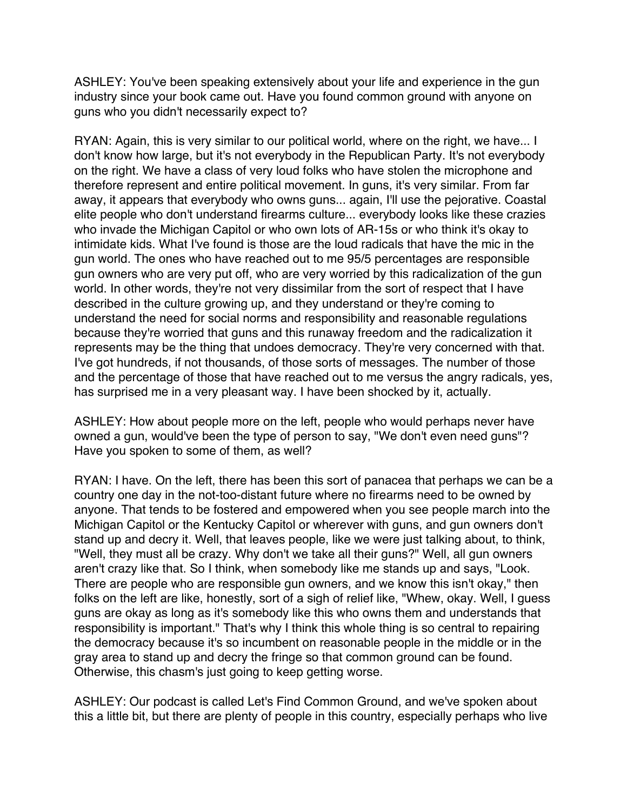ASHLEY: You've been speaking extensively about your life and experience in the gun industry since your book came out. Have you found common ground with anyone on guns who you didn't necessarily expect to?

RYAN: Again, this is very similar to our political world, where on the right, we have... I don't know how large, but it's not everybody in the Republican Party. It's not everybody on the right. We have a class of very loud folks who have stolen the microphone and therefore represent and entire political movement. In guns, it's very similar. From far away, it appears that everybody who owns guns... again, I'll use the pejorative. Coastal elite people who don't understand firearms culture... everybody looks like these crazies who invade the Michigan Capitol or who own lots of AR-15s or who think it's okay to intimidate kids. What I've found is those are the loud radicals that have the mic in the gun world. The ones who have reached out to me 95/5 percentages are responsible gun owners who are very put off, who are very worried by this radicalization of the gun world. In other words, they're not very dissimilar from the sort of respect that I have described in the culture growing up, and they understand or they're coming to understand the need for social norms and responsibility and reasonable regulations because they're worried that guns and this runaway freedom and the radicalization it represents may be the thing that undoes democracy. They're very concerned with that. I've got hundreds, if not thousands, of those sorts of messages. The number of those and the percentage of those that have reached out to me versus the angry radicals, yes, has surprised me in a very pleasant way. I have been shocked by it, actually.

ASHLEY: How about people more on the left, people who would perhaps never have owned a gun, would've been the type of person to say, "We don't even need guns"? Have you spoken to some of them, as well?

RYAN: I have. On the left, there has been this sort of panacea that perhaps we can be a country one day in the not-too-distant future where no firearms need to be owned by anyone. That tends to be fostered and empowered when you see people march into the Michigan Capitol or the Kentucky Capitol or wherever with guns, and gun owners don't stand up and decry it. Well, that leaves people, like we were just talking about, to think, "Well, they must all be crazy. Why don't we take all their guns?" Well, all gun owners aren't crazy like that. So I think, when somebody like me stands up and says, "Look. There are people who are responsible gun owners, and we know this isn't okay," then folks on the left are like, honestly, sort of a sigh of relief like, "Whew, okay. Well, I guess guns are okay as long as it's somebody like this who owns them and understands that responsibility is important." That's why I think this whole thing is so central to repairing the democracy because it's so incumbent on reasonable people in the middle or in the gray area to stand up and decry the fringe so that common ground can be found. Otherwise, this chasm's just going to keep getting worse.

ASHLEY: Our podcast is called Let's Find Common Ground, and we've spoken about this a little bit, but there are plenty of people in this country, especially perhaps who live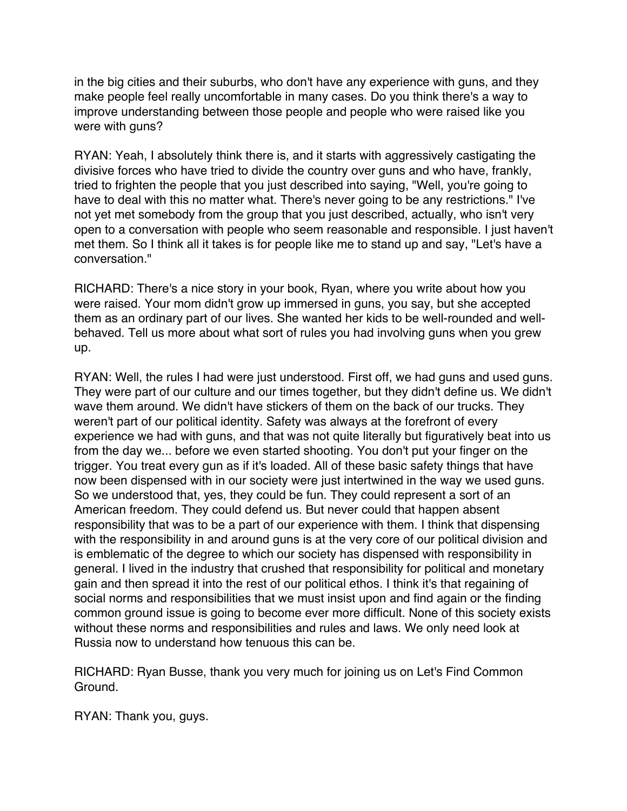in the big cities and their suburbs, who don't have any experience with guns, and they make people feel really uncomfortable in many cases. Do you think there's a way to improve understanding between those people and people who were raised like you were with guns?

RYAN: Yeah, I absolutely think there is, and it starts with aggressively castigating the divisive forces who have tried to divide the country over guns and who have, frankly, tried to frighten the people that you just described into saying, "Well, you're going to have to deal with this no matter what. There's never going to be any restrictions." I've not yet met somebody from the group that you just described, actually, who isn't very open to a conversation with people who seem reasonable and responsible. I just haven't met them. So I think all it takes is for people like me to stand up and say, "Let's have a conversation."

RICHARD: There's a nice story in your book, Ryan, where you write about how you were raised. Your mom didn't grow up immersed in guns, you say, but she accepted them as an ordinary part of our lives. She wanted her kids to be well-rounded and wellbehaved. Tell us more about what sort of rules you had involving guns when you grew up.

RYAN: Well, the rules I had were just understood. First off, we had guns and used guns. They were part of our culture and our times together, but they didn't define us. We didn't wave them around. We didn't have stickers of them on the back of our trucks. They weren't part of our political identity. Safety was always at the forefront of every experience we had with guns, and that was not quite literally but figuratively beat into us from the day we... before we even started shooting. You don't put your finger on the trigger. You treat every gun as if it's loaded. All of these basic safety things that have now been dispensed with in our society were just intertwined in the way we used guns. So we understood that, yes, they could be fun. They could represent a sort of an American freedom. They could defend us. But never could that happen absent responsibility that was to be a part of our experience with them. I think that dispensing with the responsibility in and around guns is at the very core of our political division and is emblematic of the degree to which our society has dispensed with responsibility in general. I lived in the industry that crushed that responsibility for political and monetary gain and then spread it into the rest of our political ethos. I think it's that regaining of social norms and responsibilities that we must insist upon and find again or the finding common ground issue is going to become ever more difficult. None of this society exists without these norms and responsibilities and rules and laws. We only need look at Russia now to understand how tenuous this can be.

RICHARD: Ryan Busse, thank you very much for joining us on Let's Find Common Ground.

RYAN: Thank you, guys.